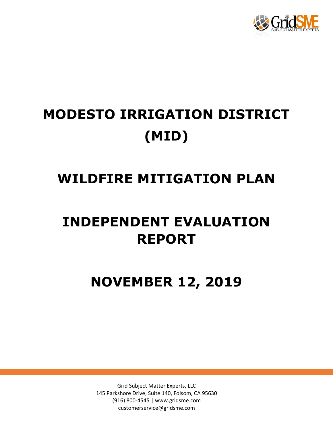

# **MODESTO IRRIGATION DISTRICT (MID)**

### **WILDFIRE MITIGATION PLAN**

## **INDEPENDENT EVALUATION REPORT**

**NOVEMBER 12, 2019**

Grid Subject Matter Experts, LLC 145 Parkshore Drive, Suite 140, Folsom, CA 95630 (916) 800-4545 | www.gridsme.com customerservice@gridsme.com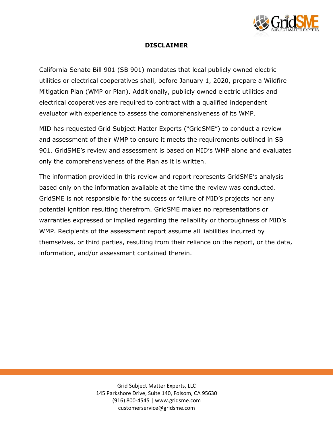

#### **DISCLAIMER**

California Senate Bill 901 (SB 901) mandates that local publicly owned electric utilities or electrical cooperatives shall, before January 1, 2020, prepare a Wildfire Mitigation Plan (WMP or Plan). Additionally, publicly owned electric utilities and electrical cooperatives are required to contract with a qualified independent evaluator with experience to assess the comprehensiveness of its WMP.

MID has requested Grid Subject Matter Experts ("GridSME") to conduct a review and assessment of their WMP to ensure it meets the requirements outlined in SB 901. GridSME's review and assessment is based on MID's WMP alone and evaluates only the comprehensiveness of the Plan as it is written.

The information provided in this review and report represents GridSME's analysis based only on the information available at the time the review was conducted. GridSME is not responsible for the success or failure of MID's projects nor any potential ignition resulting therefrom. GridSME makes no representations or warranties expressed or implied regarding the reliability or thoroughness of MID's WMP. Recipients of the assessment report assume all liabilities incurred by themselves, or third parties, resulting from their reliance on the report, or the data, information, and/or assessment contained therein.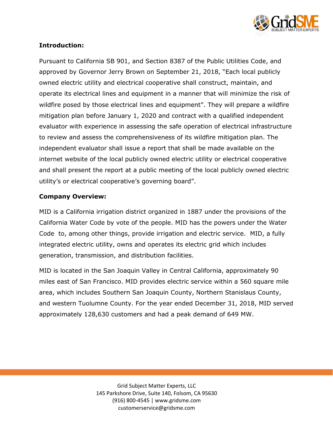

#### **Introduction:**

Pursuant to California SB 901, and Section 8387 of the Public Utilities Code, and approved by Governor Jerry Brown on September 21, 2018, "Each local publicly owned electric utility and electrical cooperative shall construct, maintain, and operate its electrical lines and equipment in a manner that will minimize the risk of wildfire posed by those electrical lines and equipment". They will prepare a wildfire mitigation plan before January 1, 2020 and contract with a qualified independent evaluator with experience in assessing the safe operation of electrical infrastructure to review and assess the comprehensiveness of its wildfire mitigation plan. The independent evaluator shall issue a report that shall be made available on the internet website of the local publicly owned electric utility or electrical cooperative and shall present the report at a public meeting of the local publicly owned electric utility's or electrical cooperative's governing board".

#### **Company Overview:**

MID is a California irrigation district organized in 1887 under the provisions of the California Water Code by vote of the people. MID has the powers under the Water Code to, among other things, provide irrigation and electric service. MID, a fully integrated electric utility, owns and operates its electric grid which includes generation, transmission, and distribution facilities.

MID is located in the San Joaquin Valley in Central California, approximately 90 miles east of San Francisco. MID provides electric service within a 560 square mile area, which includes Southern San Joaquin County, Northern Stanislaus County, and western Tuolumne County. For the year ended December 31, 2018, MID served approximately 128,630 customers and had a peak demand of 649 MW.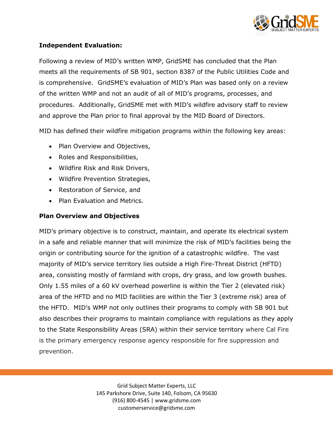

#### **Independent Evaluation:**

Following a review of MID's written WMP, GridSME has concluded that the Plan meets all the requirements of SB 901, section 8387 of the Public Utilities Code and is comprehensive. GridSME's evaluation of MID's Plan was based only on a review of the written WMP and not an audit of all of MID's programs, processes, and procedures. Additionally, GridSME met with MID's wildfire advisory staff to review and approve the Plan prior to final approval by the MID Board of Directors.

MID has defined their wildfire mitigation programs within the following key areas:

- Plan Overview and Objectives,
- Roles and Responsibilities,
- Wildfire Risk and Risk Drivers,
- Wildfire Prevention Strategies,
- Restoration of Service, and
- Plan Evaluation and Metrics.

#### **Plan Overview and Objectives**

MID's primary objective is to construct, maintain, and operate its electrical system in a safe and reliable manner that will minimize the risk of MID's facilities being the origin or contributing source for the ignition of a catastrophic wildfire. The vast majority of MID's service territory lies outside a High Fire-Threat District (HFTD) area, consisting mostly of farmland with crops, dry grass, and low growth bushes. Only 1.55 miles of a 60 kV overhead powerline is within the Tier 2 (elevated risk) area of the HFTD and no MID facilities are within the Tier 3 (extreme risk) area of the HFTD. MID's WMP not only outlines their programs to comply with SB 901 but also describes their programs to maintain compliance with regulations as they apply to the State Responsibility Areas (SRA) within their service territory where Cal Fire is the primary emergency response agency responsible for fire suppression and prevention.

> Grid Subject Matter Experts, LLC 145 Parkshore Drive, Suite 140, Folsom, CA 95630 (916) 800-4545 | www.gridsme.com customerservice@gridsme.com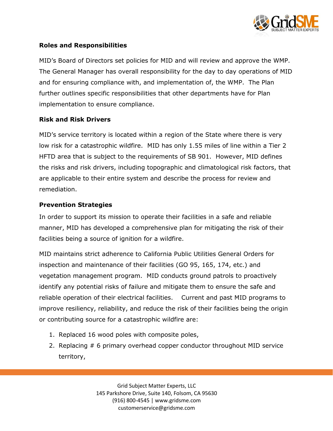

#### **Roles and Responsibilities**

MID's Board of Directors set policies for MID and will review and approve the WMP. The General Manager has overall responsibility for the day to day operations of MID and for ensuring compliance with, and implementation of, the WMP. The Plan further outlines specific responsibilities that other departments have for Plan implementation to ensure compliance.

#### **Risk and Risk Drivers**

MID's service territory is located within a region of the State where there is very low risk for a catastrophic wildfire. MID has only 1.55 miles of line within a Tier 2 HFTD area that is subject to the requirements of SB 901. However, MID defines the risks and risk drivers, including topographic and climatological risk factors, that are applicable to their entire system and describe the process for review and remediation.

#### **Prevention Strategies**

In order to support its mission to operate their facilities in a safe and reliable manner, MID has developed a comprehensive plan for mitigating the risk of their facilities being a source of ignition for a wildfire.

MID maintains strict adherence to California Public Utilities General Orders for inspection and maintenance of their facilities (GO 95, 165, 174, etc.) and vegetation management program. MID conducts ground patrols to proactively identify any potential risks of failure and mitigate them to ensure the safe and reliable operation of their electrical facilities. Current and past MID programs to improve resiliency, reliability, and reduce the risk of their facilities being the origin or contributing source for a catastrophic wildfire are:

- 1. Replaced 16 wood poles with composite poles,
- 2. Replacing # 6 primary overhead copper conductor throughout MID service territory,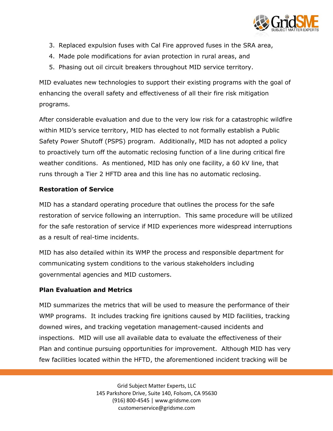

- 3. Replaced expulsion fuses with Cal Fire approved fuses in the SRA area,
- 4. Made pole modifications for avian protection in rural areas, and
- 5. Phasing out oil circuit breakers throughout MID service territory.

MID evaluates new technologies to support their existing programs with the goal of enhancing the overall safety and effectiveness of all their fire risk mitigation programs.

After considerable evaluation and due to the very low risk for a catastrophic wildfire within MID's service territory, MID has elected to not formally establish a Public Safety Power Shutoff (PSPS) program. Additionally, MID has not adopted a policy to proactively turn off the automatic reclosing function of a line during critical fire weather conditions. As mentioned, MID has only one facility, a 60 kV line, that runs through a Tier 2 HFTD area and this line has no automatic reclosing.

#### **Restoration of Service**

MID has a standard operating procedure that outlines the process for the safe restoration of service following an interruption. This same procedure will be utilized for the safe restoration of service if MID experiences more widespread interruptions as a result of real-time incidents.

MID has also detailed within its WMP the process and responsible department for communicating system conditions to the various stakeholders including governmental agencies and MID customers.

#### **Plan Evaluation and Metrics**

MID summarizes the metrics that will be used to measure the performance of their WMP programs. It includes tracking fire ignitions caused by MID facilities, tracking downed wires, and tracking vegetation management-caused incidents and inspections. MID will use all available data to evaluate the effectiveness of their Plan and continue pursuing opportunities for improvement. Although MID has very few facilities located within the HFTD, the aforementioned incident tracking will be